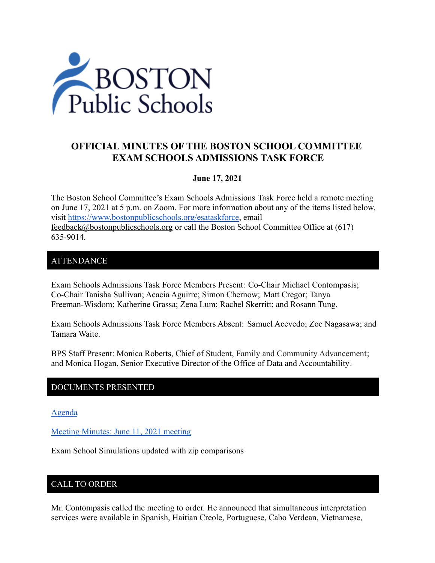

# **OFFICIAL MINUTES OF THE BOSTON SCHOOL COMMITTEE EXAM SCHOOLS ADMISSIONS TASK FORCE**

## **June 17, 2021**

The Boston School Committee's Exam Schools Admissions Task Force held a remote meeting on June 17, 2021 at 5 p.m. on Zoom. For more information about any of the items listed below, visit [https://www.bostonpublicschools.org/esataskforce,](https://www.bostonpublicschools.org/esataskforce) email [feedback@bostonpublicschools.org](mailto:feedback@bostonpublicschools.org) or call the Boston School Committee Office at (617) 635-9014.

### ATTENDANCE

Exam Schools Admissions Task Force Members Present: Co-Chair Michael Contompasis; Co-Chair Tanisha Sullivan; Acacia Aguirre; Simon Chernow; Matt Cregor; Tanya Freeman-Wisdom; Katherine Grassa; Zena Lum; Rachel Skerritt; and Rosann Tung.

Exam Schools Admissions Task Force Members Absent: Samuel Acevedo; Zoe Nagasawa; and Tamara Waite.

BPS Staff Present: Monica Roberts, Chief of Student, Family and Community Advancement; and Monica Hogan, Senior Executive Director of the Office of Data and Accountability.

# DOCUMENTS PRESENTED

[Agenda](https://www.boston.gov/public-notices/15755956)

[Meeting Minutes: June 11, 2021 meeting](https://www.bostonpublicschools.org/cms/lib/MA01906464/Centricity/Domain/2931/Minutes%206%2011%2021%20Exam%20School%20Admission%20TF%20Meeting.docx.pdf)

Exam School Simulations updated with zip comparisons

# CALL TO ORDER

Mr. Contompasis called the meeting to order. He announced that simultaneous interpretation services were available in Spanish, Haitian Creole, Portuguese, Cabo Verdean, Vietnamese,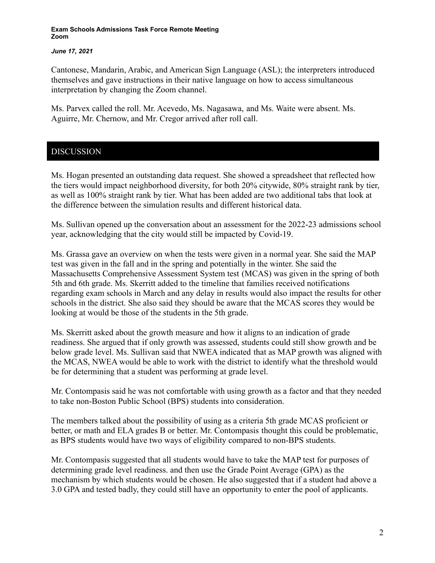### *June 17, 2021*

Cantonese, Mandarin, Arabic, and American Sign Language (ASL); the interpreters introduced themselves and gave instructions in their native language on how to access simultaneous interpretation by changing the Zoom channel.

Ms. Parvex called the roll. Mr. Acevedo, Ms. Nagasawa, and Ms. Waite were absent. Ms. Aguirre, Mr. Chernow, and Mr. Cregor arrived after roll call.

# DISCUSSION

Ms. Hogan presented an outstanding data request. She showed a spreadsheet that reflected how the tiers would impact neighborhood diversity, for both 20% citywide, 80% straight rank by tier, as well as 100% straight rank by tier. What has been added are two additional tabs that look at the difference between the simulation results and different historical data.

Ms. Sullivan opened up the conversation about an assessment for the 2022-23 admissions school year, acknowledging that the city would still be impacted by Covid-19.

Ms. Grassa gave an overview on when the tests were given in a normal year. She said the MAP test was given in the fall and in the spring and potentially in the winter. She said the Massachusetts Comprehensive Assessment System test (MCAS) was given in the spring of both 5th and 6th grade. Ms. Skerritt added to the timeline that families received notifications regarding exam schools in March and any delay in results would also impact the results for other schools in the district. She also said they should be aware that the MCAS scores they would be looking at would be those of the students in the 5th grade.

Ms. Skerritt asked about the growth measure and how it aligns to an indication of grade readiness. She argued that if only growth was assessed, students could still show growth and be below grade level. Ms. Sullivan said that NWEA indicated that as MAP growth was aligned with the MCAS, NWEA would be able to work with the district to identify what the threshold would be for determining that a student was performing at grade level.

Mr. Contompasis said he was not comfortable with using growth as a factor and that they needed to take non-Boston Public School (BPS) students into consideration.

The members talked about the possibility of using as a criteria 5th grade MCAS proficient or better, or math and ELA grades B or better. Mr. Contompasis thought this could be problematic, as BPS students would have two ways of eligibility compared to non-BPS students.

Mr. Contompasis suggested that all students would have to take the MAP test for purposes of determining grade level readiness. and then use the Grade Point Average (GPA) as the mechanism by which students would be chosen. He also suggested that if a student had above a 3.0 GPA and tested badly, they could still have an opportunity to enter the pool of applicants.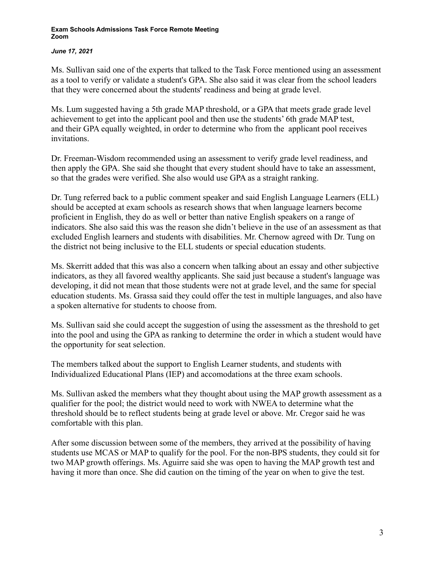### *June 17, 2021*

Ms. Sullivan said one of the experts that talked to the Task Force mentioned using an assessment as a tool to verify or validate a student's GPA. She also said it was clear from the school leaders that they were concerned about the students' readiness and being at grade level.

Ms. Lum suggested having a 5th grade MAP threshold, or a GPA that meets grade grade level achievement to get into the applicant pool and then use the students' 6th grade MAP test, and their GPA equally weighted, in order to determine who from the applicant pool receives invitations.

Dr. Freeman-Wisdom recommended using an assessment to verify grade level readiness, and then apply the GPA. She said she thought that every student should have to take an assessment, so that the grades were verified. She also would use GPA as a straight ranking.

Dr. Tung referred back to a public comment speaker and said English Language Learners (ELL) should be accepted at exam schools as research shows that when language learners become proficient in English, they do as well or better than native English speakers on a range of indicators. She also said this was the reason she didn't believe in the use of an assessment as that excluded English learners and students with disabilities. Mr. Chernow agreed with Dr. Tung on the district not being inclusive to the ELL students or special education students.

Ms. Skerritt added that this was also a concern when talking about an essay and other subjective indicators, as they all favored wealthy applicants. She said just because a student's language was developing, it did not mean that those students were not at grade level, and the same for special education students. Ms. Grassa said they could offer the test in multiple languages, and also have a spoken alternative for students to choose from.

Ms. Sullivan said she could accept the suggestion of using the assessment as the threshold to get into the pool and using the GPA as ranking to determine the order in which a student would have the opportunity for seat selection.

The members talked about the support to English Learner students, and students with Individualized Educational Plans (IEP) and accomodations at the three exam schools.

Ms. Sullivan asked the members what they thought about using the MAP growth assessment as a qualifier for the pool; the district would need to work with NWEA to determine what the threshold should be to reflect students being at grade level or above. Mr. Cregor said he was comfortable with this plan.

After some discussion between some of the members, they arrived at the possibility of having students use MCAS or MAP to qualify for the pool. For the non-BPS students, they could sit for two MAP growth offerings. Ms. Aguirre said she was open to having the MAP growth test and having it more than once. She did caution on the timing of the year on when to give the test.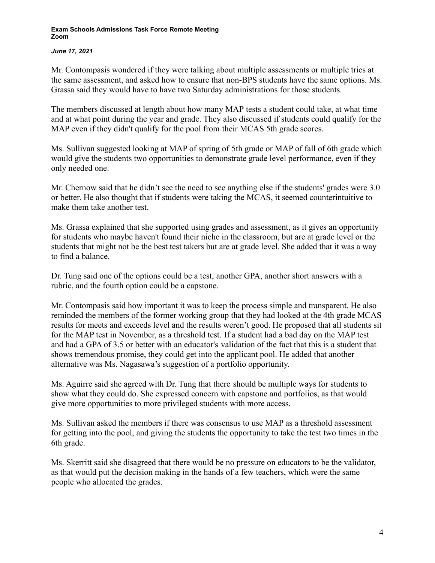### *June 17, 2021*

Mr. Contompasis wondered if they were talking about multiple assessments or multiple tries at the same assessment, and asked how to ensure that non-BPS students have the same options. Ms. Grassa said they would have to have two Saturday administrations for those students.

The members discussed at length about how many MAP tests a student could take, at what time and at what point during the year and grade. They also discussed if students could qualify for the MAP even if they didn't qualify for the pool from their MCAS 5th grade scores.

Ms. Sullivan suggested looking at MAP of spring of 5th grade or MAP of fall of 6th grade which would give the students two opportunities to demonstrate grade level performance, even if they only needed one.

Mr. Chernow said that he didn't see the need to see anything else if the students' grades were 3.0 or better. He also thought that if students were taking the MCAS, it seemed counterintuitive to make them take another test.

Ms. Grassa explained that she supported using grades and assessment, as it gives an opportunity for students who maybe haven't found their niche in the classroom, but are at grade level or the students that might not be the best test takers but are at grade level. She added that it was a way to find a balance.

Dr. Tung said one of the options could be a test, another GPA, another short answers with a rubric, and the fourth option could be a capstone.

Mr. Contompasis said how important it was to keep the process simple and transparent. He also reminded the members of the former working group that they had looked at the 4th grade MCAS results for meets and exceeds level and the results weren't good. He proposed that all students sit for the MAP test in November, as a threshold test. If a student had a bad day on the MAP test and had a GPA of 3.5 or better with an educator's validation of the fact that this is a student that shows tremendous promise, they could get into the applicant pool. He added that another alternative was Ms. Nagasawa's suggestion of a portfolio opportunity.

Ms. Aguirre said she agreed with Dr. Tung that there should be multiple ways for students to show what they could do. She expressed concern with capstone and portfolios, as that would give more opportunities to more privileged students with more access.

Ms. Sullivan asked the members if there was consensus to use MAP as a threshold assessment for getting into the pool, and giving the students the opportunity to take the test two times in the 6th grade.

Ms. Skerritt said she disagreed that there would be no pressure on educators to be the validator, as that would put the decision making in the hands of a few teachers, which were the same people who allocated the grades.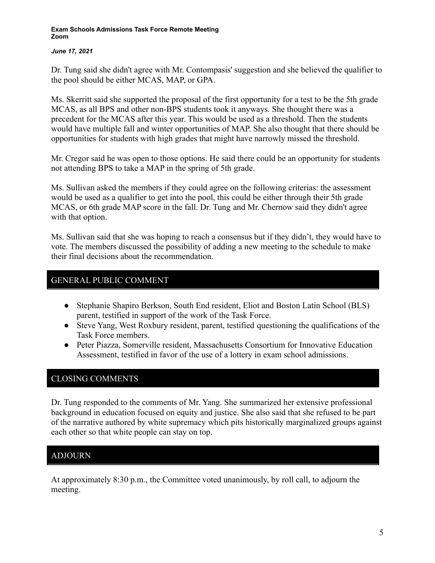### *June 17, 2021*

Dr. Tung said she didn't agree with Mr. Contompasis' suggestion and she believed the qualifier to the pool should be either MCAS, MAP, or GPA.

Ms. Skerritt said she supported the proposal of the first opportunity for a test to be the 5th grade MCAS, as all BPS and other non-BPS students took it anyways. She thought there was a precedent for the MCAS after this year. This would be used as a threshold. Then the students would have multiple fall and winter opportunities of MAP. She also thought that there should be opportunities for students with high grades that might have narrowly missed the threshold.

Mr. Cregor said he was open to those options. He said there could be an opportunity for students not attending BPS to take a MAP in the spring of 5th grade.

Ms. Sullivan asked the members if they could agree on the following criterias: the assessment would be used as a qualifier to get into the pool, this could be either through their 5th grade MCAS, or 6th grade MAP score in the fall. Dr. Tung and Mr. Chernow said they didn't agree with that option.

Ms. Sullivan said that she was hoping to reach a consensus but if they didn't, they would have to vote. The members discussed the possibility of adding a new meeting to the schedule to make their final decisions about the recommendation.

## GENERAL PUBLIC COMMENT

- Stephanie Shapiro Berkson, South End resident, Eliot and Boston Latin School (BLS) parent, testified in support of the work of the Task Force.
- Steve Yang, West Roxbury resident, parent, testified questioning the qualifications of the Task Force members.
- Peter Piazza, Somerville resident, Massachusetts Consortium for Innovative Education Assessment, testified in favor of the use of a lottery in exam school admissions.

## CLOSING COMMENTS

Dr. Tung responded to the comments of Mr. Yang. She summarized her extensive professional background in education focused on equity and justice. She also said that she refused to be part of the narrative authored by white supremacy which pits historically marginalized groups against each other so that white people can stay on top.

# ADJOURN

At approximately 8:30 p.m., the Committee voted unanimously, by roll call, to adjourn the meeting.